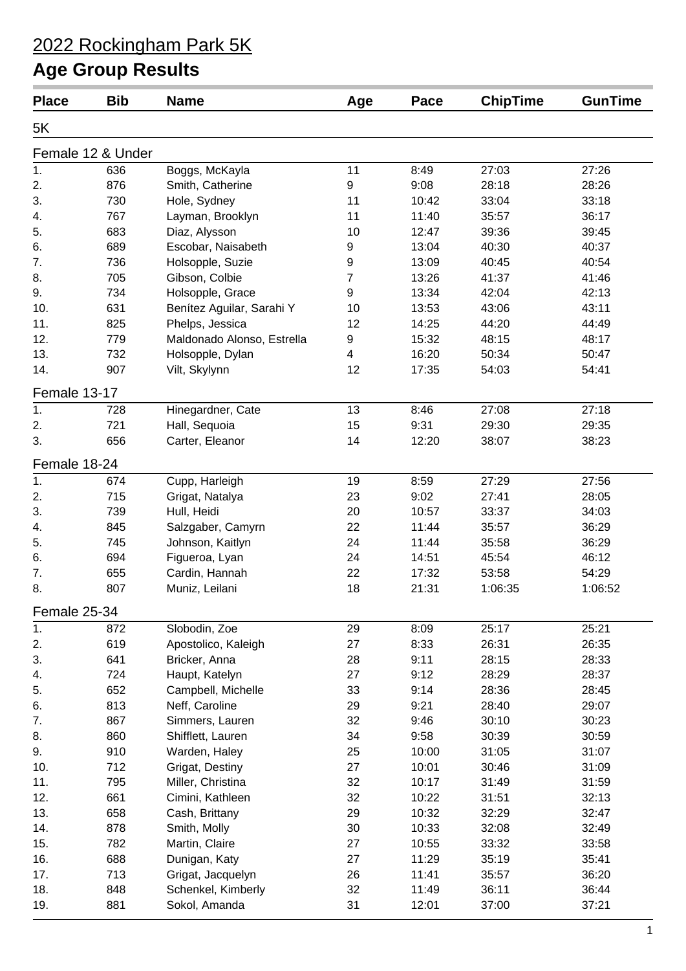| <b>Place</b>      | <b>Bib</b> | <b>Name</b>                          | Age              | Pace         | <b>ChipTime</b> | <b>GunTime</b> |
|-------------------|------------|--------------------------------------|------------------|--------------|-----------------|----------------|
| 5K                |            |                                      |                  |              |                 |                |
| Female 12 & Under |            |                                      |                  |              |                 |                |
| 1.                | 636        | Boggs, McKayla                       | 11               | 8:49         | 27:03           | 27:26          |
| 2.                | 876        | Smith, Catherine                     | $\boldsymbol{9}$ | 9:08         | 28:18           | 28:26          |
| 3.                | 730        | Hole, Sydney                         | 11               | 10:42        | 33:04           | 33:18          |
| 4.                | 767        | Layman, Brooklyn                     | 11               | 11:40        | 35:57           | 36:17          |
| 5.                | 683        | Diaz, Alysson                        | 10               | 12:47        | 39:36           | 39:45          |
| 6.                | 689        | Escobar, Naisabeth                   | 9                | 13:04        | 40:30           | 40:37          |
| 7.                | 736        | Holsopple, Suzie                     | $\boldsymbol{9}$ | 13:09        | 40:45           | 40:54          |
| 8.                | 705        | Gibson, Colbie                       | $\overline{7}$   | 13:26        | 41:37           | 41:46          |
| 9.                | 734        | Holsopple, Grace                     | 9                | 13:34        | 42:04           | 42:13          |
| 10.               | 631        | Benítez Aguilar, Sarahi Y            | 10               | 13:53        | 43:06           | 43:11          |
| 11.               | 825        | Phelps, Jessica                      | 12               | 14:25        | 44:20           | 44:49          |
| 12.               | 779        | Maldonado Alonso, Estrella           | 9                | 15:32        | 48:15           | 48:17          |
| 13.               | 732        | Holsopple, Dylan                     | $\overline{4}$   | 16:20        | 50:34           | 50:47          |
| 14.               | 907        | Vilt, Skylynn                        | 12               | 17:35        | 54:03           | 54:41          |
| Female 13-17      |            |                                      |                  |              |                 |                |
| 1.                | 728        | Hinegardner, Cate                    | 13               | 8:46         | 27:08           | 27:18          |
| 2.                | 721        | Hall, Sequoia                        | 15               | 9:31         | 29:30           | 29:35          |
| 3.                | 656        | Carter, Eleanor                      | 14               | 12:20        | 38:07           | 38:23          |
| Female 18-24      |            |                                      |                  |              |                 |                |
| 1.                | 674        | Cupp, Harleigh                       | 19               | 8:59         | 27:29           | 27:56          |
| 2.                | 715        | Grigat, Natalya                      | 23               | 9:02         | 27:41           | 28:05          |
| 3.                | 739        | Hull, Heidi                          | 20               | 10:57        | 33:37           | 34:03          |
| 4.                | 845        | Salzgaber, Camyrn                    | 22               | 11:44        | 35:57           | 36:29          |
| 5.                | 745        | Johnson, Kaitlyn                     | 24               | 11:44        | 35:58           | 36:29          |
| 6.                | 694        | Figueroa, Lyan                       | 24               | 14:51        | 45:54           | 46:12          |
| 7.                | 655        | Cardin, Hannah                       | 22               | 17:32        | 53:58           | 54:29          |
| 8.                | 807        | Muniz, Leilani                       | 18               | 21:31        | 1:06:35         | 1:06:52        |
| Female 25-34      |            |                                      |                  |              |                 |                |
|                   |            | Slobodin, Zoe                        |                  |              |                 |                |
| 1.                | 872        |                                      | 29               | 8:09         | 25:17           | 25:21          |
| 2.                | 619        | Apostolico, Kaleigh                  | 27               | 8:33         | 26:31           | 26:35          |
| 3.<br>4.          | 641<br>724 | Bricker, Anna                        | 28<br>27         | 9:11<br>9:12 | 28:15<br>28:29  | 28:33<br>28:37 |
| 5.                | 652        | Haupt, Katelyn<br>Campbell, Michelle | 33               | 9:14         | 28:36           | 28:45          |
| 6.                | 813        | Neff, Caroline                       | 29               | 9:21         | 28:40           | 29:07          |
| 7.                | 867        |                                      | 32               | 9:46         | 30:10           | 30:23          |
| 8.                | 860        | Simmers, Lauren<br>Shifflett, Lauren | 34               | 9:58         | 30:39           | 30:59          |
| 9.                | 910        |                                      | 25               | 10:00        | 31:05           | 31:07          |
| 10.               |            | Warden, Haley                        | 27               |              |                 |                |
|                   | 712        | Grigat, Destiny                      |                  | 10:01        | 30:46           | 31:09          |
| 11.               | 795        | Miller, Christina                    | 32               | 10:17        | 31:49           | 31:59          |
| 12.               | 661        | Cimini, Kathleen                     | 32               | 10:22        | 31:51           | 32:13          |
| 13.               | 658        | Cash, Brittany                       | 29               | 10:32        | 32:29           | 32:47          |
| 14.               | 878        | Smith, Molly                         | 30               | 10:33        | 32:08           | 32:49          |
| 15.               | 782        | Martin, Claire                       | 27               | 10:55        | 33:32           | 33:58          |
| 16.               | 688        | Dunigan, Katy                        | 27               | 11:29        | 35:19           | 35:41          |
| 17.               | 713        | Grigat, Jacquelyn                    | 26               | 11:41        | 35:57           | 36:20          |
| 18.               | 848        | Schenkel, Kimberly                   | 32               | 11:49        | 36:11           | 36:44          |
| 19.               | 881        | Sokol, Amanda                        | 31               | 12:01        | 37:00           | 37:21          |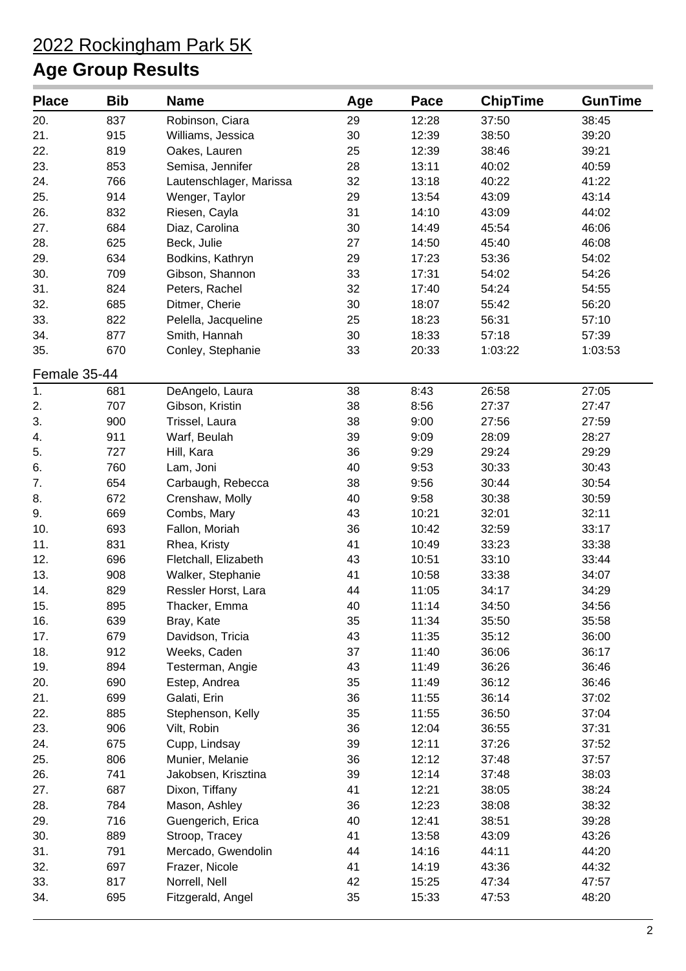| <b>Place</b> | <b>Bib</b> | <b>Name</b>                              | Age      | Pace           | <b>ChipTime</b> | <b>GunTime</b> |
|--------------|------------|------------------------------------------|----------|----------------|-----------------|----------------|
| 20.          | 837        | Robinson, Ciara                          | 29       | 12:28          | 37:50           | 38:45          |
| 21.          | 915        | Williams, Jessica                        | 30       | 12:39          | 38:50           | 39:20          |
| 22.          | 819        | Oakes, Lauren                            | 25       | 12:39          | 38:46           | 39:21          |
| 23.          | 853        | Semisa, Jennifer                         | 28       | 13:11          | 40:02           | 40:59          |
| 24.          | 766        | Lautenschlager, Marissa                  | 32       | 13:18          | 40:22           | 41:22          |
| 25.          | 914        | Wenger, Taylor                           | 29       | 13:54          | 43:09           | 43:14          |
| 26.          | 832        | Riesen, Cayla                            | 31       | 14:10          | 43:09           | 44:02          |
| 27.          | 684        | Diaz, Carolina                           | 30       | 14:49          | 45:54           | 46:06          |
| 28.          | 625        | Beck, Julie                              | 27       | 14:50          | 45:40           | 46:08          |
| 29.          | 634        | Bodkins, Kathryn                         | 29       | 17:23          | 53:36           | 54:02          |
| 30.          | 709        | Gibson, Shannon                          | 33       | 17:31          | 54:02           | 54:26          |
| 31.          | 824        | Peters, Rachel                           | 32       | 17:40          | 54:24           | 54:55          |
| 32.          | 685        | Ditmer, Cherie                           | 30       | 18:07          | 55:42           | 56:20          |
| 33.          | 822        | Pelella, Jacqueline                      | 25       | 18:23          | 56:31           | 57:10          |
| 34.          | 877        | Smith, Hannah                            | 30       | 18:33          | 57:18           | 57:39          |
| 35.          | 670        | Conley, Stephanie                        | 33       | 20:33          | 1:03:22         | 1:03:53        |
| Female 35-44 |            |                                          |          |                |                 |                |
| 1.           | 681        | DeAngelo, Laura                          | 38       | 8:43           | 26:58           | 27:05          |
| 2.           | 707        | Gibson, Kristin                          | 38       | 8:56           | 27:37           | 27:47          |
| 3.           | 900        | Trissel, Laura                           | 38       | 9:00           | 27:56           | 27:59          |
| 4.           | 911        | Warf, Beulah                             | 39       | 9:09           | 28:09           | 28:27          |
| 5.           | 727        | Hill, Kara                               | 36       | 9:29           | 29:24           | 29:29          |
| 6.           | 760        | Lam, Joni                                | 40       | 9:53           | 30:33           | 30:43          |
| 7.           | 654        | Carbaugh, Rebecca                        | 38       | 9:56           | 30:44           | 30:54          |
| 8.           | 672        | Crenshaw, Molly                          | 40       | 9:58           | 30:38           | 30:59          |
| 9.           | 669        | Combs, Mary                              | 43       | 10:21          | 32:01           | 32:11          |
| 10.          | 693        |                                          | 36       | 10:42          | 32:59           | 33:17          |
| 11.          | 831        | Fallon, Moriah<br>Rhea, Kristy           | 41       | 10:49          | 33:23           | 33:38          |
| 12.          | 696        |                                          | 43       | 10:51          |                 |                |
| 13.          | 908        | Fletchall, Elizabeth                     | 41       | 10:58          | 33:10<br>33:38  | 33:44<br>34:07 |
| 14.          | 829        | Walker, Stephanie<br>Ressler Horst, Lara | 44       | 11:05          | 34:17           | 34:29          |
| 15.          | 895        |                                          | 40       | 11:14          | 34:50           |                |
| 16.          |            | Thacker, Emma                            | 35       | 11:34          | 35:50           | 34:56          |
|              | 639<br>679 | Bray, Kate                               | 43       |                |                 | 35:58          |
| 17.<br>18.   | 912        | Davidson, Tricia                         | 37       | 11:35<br>11:40 | 35:12<br>36:06  | 36:00<br>36:17 |
|              |            | Weeks, Caden                             |          | 11:49          |                 |                |
| 19.          | 894<br>690 | Testerman, Angie                         | 43<br>35 |                | 36:26           | 36:46          |
| 20.          |            | Estep, Andrea                            | 36       | 11:49          | 36:12           | 36:46          |
| 21.          | 699        | Galati, Erin                             | 35       | 11:55          | 36:14           | 37:02          |
| 22.          | 885        | Stephenson, Kelly                        |          | 11:55          | 36:50           | 37:04          |
| 23.          | 906<br>675 | Vilt, Robin                              | 36<br>39 | 12:04          | 36:55           | 37:31          |
| 24.          |            | Cupp, Lindsay                            |          | 12:11          | 37:26           | 37:52          |
| 25.          | 806<br>741 | Munier, Melanie                          | 36       | 12:12          | 37:48           | 37:57          |
| 26.          |            | Jakobsen, Krisztina                      | 39       | 12:14          | 37:48           | 38:03          |
| 27.          | 687<br>784 | Dixon, Tiffany                           | 41<br>36 | 12:21          | 38:05           | 38:24          |
| 28.          |            | Mason, Ashley                            |          | 12:23          | 38:08           | 38:32          |
| 29.          | 716        | Guengerich, Erica                        | 40       | 12:41          | 38:51           | 39:28          |
| 30.          | 889        | Stroop, Tracey                           | 41       | 13:58          | 43:09           | 43:26          |
| 31.          | 791        | Mercado, Gwendolin                       | 44       | 14:16          | 44:11           | 44:20          |
| 32.          | 697        | Frazer, Nicole                           | 41       | 14:19          | 43:36           | 44:32          |
| 33.          | 817        | Norrell, Nell                            | 42       | 15:25          | 47:34           | 47:57          |
| 34.          | 695        | Fitzgerald, Angel                        | 35       | 15:33          | 47:53           | 48:20          |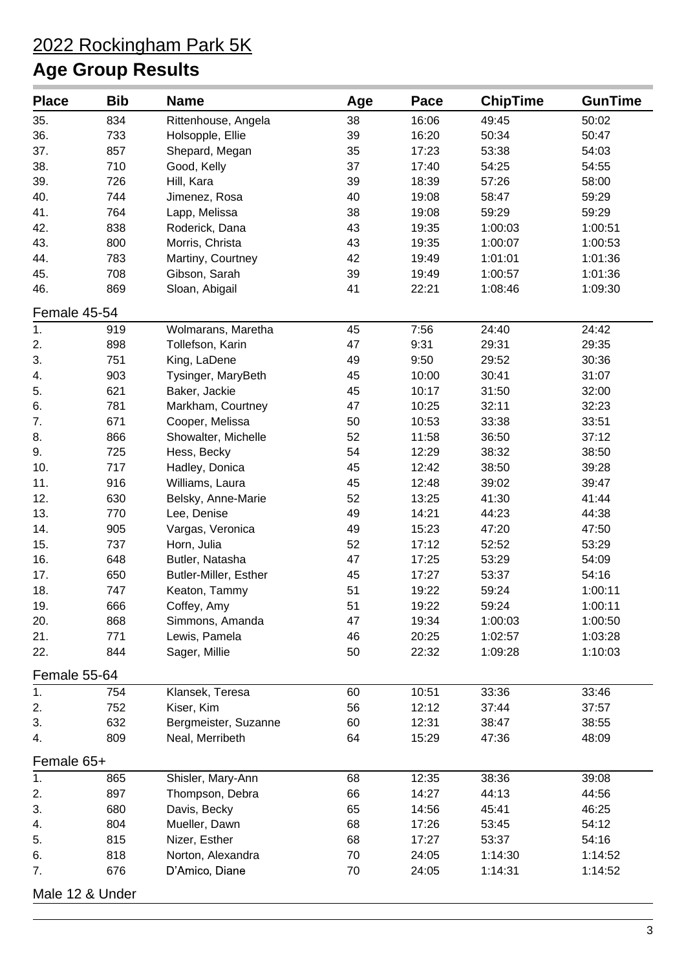| <b>Place</b>    | <b>Bib</b> | <b>Name</b>                  | Age | Pace  | <b>ChipTime</b> | <b>GunTime</b> |  |
|-----------------|------------|------------------------------|-----|-------|-----------------|----------------|--|
| 35.             | 834        | Rittenhouse, Angela          | 38  | 16:06 | 49:45           | 50:02          |  |
| 36.             | 733        | Holsopple, Ellie             | 39  | 16:20 | 50:34           | 50:47          |  |
| 37.             | 857        | Shepard, Megan               | 35  | 17:23 | 53:38           | 54:03          |  |
| 38.             | 710        | Good, Kelly                  | 37  | 17:40 | 54:25           | 54:55          |  |
| 39.             | 726        | Hill, Kara                   | 39  | 18:39 | 57:26           | 58:00          |  |
| 40.             | 744        | Jimenez, Rosa                | 40  | 19:08 | 58:47           | 59:29          |  |
| 41.             | 764        | Lapp, Melissa                | 38  | 19:08 | 59:29           | 59:29          |  |
| 42.             | 838        | Roderick, Dana               | 43  | 19:35 | 1:00:03         | 1:00:51        |  |
| 43.             | 800        | Morris, Christa              | 43  | 19:35 | 1:00:07         | 1:00:53        |  |
| 44.             | 783        | Martiny, Courtney            | 42  | 19:49 | 1:01:01         | 1:01:36        |  |
| 45.             | 708        | Gibson, Sarah                | 39  | 19:49 | 1:00:57         | 1:01:36        |  |
| 46.             | 869        | Sloan, Abigail               | 41  | 22:21 | 1:08:46         | 1:09:30        |  |
| Female 45-54    |            |                              |     |       |                 |                |  |
| 1.              | 919        | Wolmarans, Maretha           | 45  | 7:56  | 24:40           | 24:42          |  |
| 2.              | 898        | Tollefson, Karin             | 47  | 9:31  | 29:31           | 29:35          |  |
| 3.              | 751        | King, LaDene                 | 49  | 9:50  | 29:52           | 30:36          |  |
| 4.              | 903        | Tysinger, MaryBeth           | 45  | 10:00 | 30:41           | 31:07          |  |
| 5.              | 621        | Baker, Jackie                | 45  | 10:17 | 31:50           | 32:00          |  |
| 6.              | 781        | Markham, Courtney            | 47  | 10:25 | 32:11           | 32:23          |  |
| 7.              | 671        | Cooper, Melissa              | 50  | 10:53 | 33:38           | 33:51          |  |
| 8.              | 866        | Showalter, Michelle          | 52  | 11:58 | 36:50           | 37:12          |  |
| 9.              | 725        | Hess, Becky                  | 54  | 12:29 | 38:32           | 38:50          |  |
| 10.             | 717        | Hadley, Donica               | 45  | 12:42 | 38:50           | 39:28          |  |
| 11.             | 916        | Williams, Laura              | 45  | 12:48 | 39:02           | 39:47          |  |
| 12.             | 630        | Belsky, Anne-Marie           | 52  | 13:25 | 41:30           | 41:44          |  |
| 13.             | 770        | Lee, Denise                  | 49  | 14:21 | 44:23           | 44:38          |  |
| 14.             | 905        | Vargas, Veronica             | 49  | 15:23 | 47:20           | 47:50          |  |
| 15.             | 737        | Horn, Julia                  | 52  | 17:12 | 52:52           | 53:29          |  |
| 16.             | 648        | Butler, Natasha              | 47  | 17:25 | 53:29           | 54:09          |  |
| 17.             | 650        | <b>Butler-Miller, Esther</b> | 45  | 17:27 | 53:37           | 54:16          |  |
| 18.             | 747        | Keaton, Tammy                | 51  | 19:22 | 59:24           | 1:00:11        |  |
| 19.             | 666        | Coffey, Amy                  | 51  | 19:22 | 59:24           | 1:00:11        |  |
| 20.             | 868        | Simmons, Amanda              | 47  | 19:34 | 1:00:03         | 1:00:50        |  |
| 21.             | 771        | Lewis, Pamela                | 46  | 20:25 | 1:02:57         | 1:03:28        |  |
| 22.             | 844        | Sager, Millie                | 50  | 22:32 | 1:09:28         | 1:10:03        |  |
| Female 55-64    |            |                              |     |       |                 |                |  |
| 1.              | 754        | Klansek, Teresa              | 60  | 10:51 | 33:36           | 33:46          |  |
| 2.              | 752        | Kiser, Kim                   | 56  | 12:12 | 37:44           | 37:57          |  |
| 3.              | 632        | Bergmeister, Suzanne         | 60  | 12:31 | 38:47           | 38:55          |  |
| 4.              | 809        | Neal, Merribeth              | 64  | 15:29 | 47:36           | 48:09          |  |
| Female 65+      |            |                              |     |       |                 |                |  |
|                 |            |                              | 68  |       |                 |                |  |
| 1.              | 865        | Shisler, Mary-Ann            |     | 12:35 | 38:36           | 39:08          |  |
| 2.              | 897        | Thompson, Debra              | 66  | 14:27 | 44:13           | 44:56          |  |
| 3.              | 680        | Davis, Becky                 | 65  | 14:56 | 45:41           | 46:25          |  |
| 4.              | 804        | Mueller, Dawn                | 68  | 17:26 | 53:45           | 54:12          |  |
| 5.              | 815        | Nizer, Esther                | 68  | 17:27 | 53:37           | 54:16          |  |
| 6.              | 818        | Norton, Alexandra            | 70  | 24:05 | 1:14:30         | 1:14:52        |  |
| 7.              | 676        | D'Amico, Diane               | 70  | 24:05 | 1:14:31         | 1:14:52        |  |
| Male 12 & Under |            |                              |     |       |                 |                |  |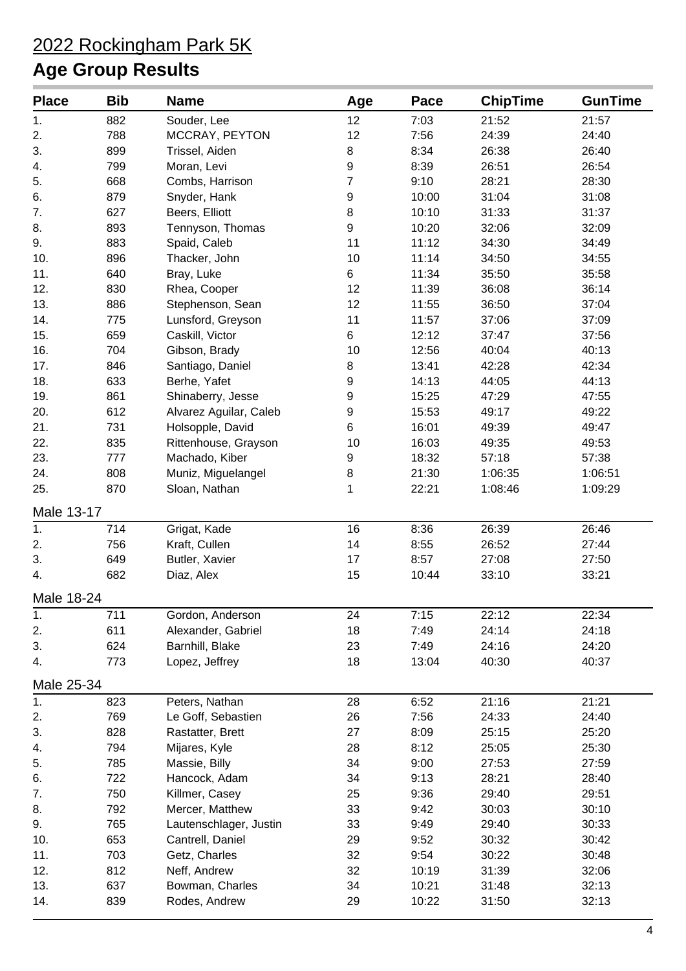| <b>Place</b> | <b>Bib</b> | <b>Name</b>            | Age              | Pace  | <b>ChipTime</b> | <b>GunTime</b> |
|--------------|------------|------------------------|------------------|-------|-----------------|----------------|
| 1.           | 882        | Souder, Lee            | 12               | 7:03  | 21:52           | 21:57          |
| 2.           | 788        | MCCRAY, PEYTON         | 12               | 7:56  | 24:39           | 24:40          |
| 3.           | 899        | Trissel, Aiden         | 8                | 8:34  | 26:38           | 26:40          |
| 4.           | 799        | Moran, Levi            | $\boldsymbol{9}$ | 8:39  | 26:51           | 26:54          |
| 5.           | 668        | Combs, Harrison        | 7                | 9:10  | 28:21           | 28:30          |
| 6.           | 879        | Snyder, Hank           | 9                | 10:00 | 31:04           | 31:08          |
| 7.           | 627        | Beers, Elliott         | 8                | 10:10 | 31:33           | 31:37          |
| 8.           | 893        | Tennyson, Thomas       | $\boldsymbol{9}$ | 10:20 | 32:06           | 32:09          |
| 9.           | 883        | Spaid, Caleb           | 11               | 11:12 | 34:30           | 34:49          |
| 10.          | 896        | Thacker, John          | 10               | 11:14 | 34:50           | 34:55          |
| 11.          | 640        | Bray, Luke             | 6                | 11:34 | 35:50           | 35:58          |
| 12.          | 830        | Rhea, Cooper           | 12               | 11:39 | 36:08           | 36:14          |
| 13.          | 886        | Stephenson, Sean       | 12               | 11:55 | 36:50           | 37:04          |
| 14.          | 775        | Lunsford, Greyson      | 11               | 11:57 | 37:06           | 37:09          |
| 15.          | 659        | Caskill, Victor        | 6                | 12:12 | 37:47           | 37:56          |
| 16.          | 704        | Gibson, Brady          | 10               | 12:56 | 40:04           | 40:13          |
| 17.          | 846        | Santiago, Daniel       | 8                | 13:41 | 42:28           | 42:34          |
| 18.          | 633        | Berhe, Yafet           | $\boldsymbol{9}$ | 14:13 | 44:05           | 44:13          |
| 19.          | 861        | Shinaberry, Jesse      | 9                | 15:25 | 47:29           | 47:55          |
| 20.          | 612        | Alvarez Aguilar, Caleb | $\boldsymbol{9}$ | 15:53 | 49:17           | 49:22          |
| 21.          | 731        | Holsopple, David       | 6                | 16:01 | 49:39           | 49:47          |
| 22.          | 835        | Rittenhouse, Grayson   | 10               | 16:03 | 49:35           | 49:53          |
| 23.          | 777        | Machado, Kiber         | 9                | 18:32 | 57:18           | 57:38          |
| 24.          | 808        | Muniz, Miguelangel     | 8                | 21:30 | 1:06:35         | 1:06:51        |
| 25.          | 870        | Sloan, Nathan          | 1                | 22:21 | 1:08:46         | 1:09:29        |
| Male 13-17   |            |                        |                  |       |                 |                |
| 1.           | 714        | Grigat, Kade           | 16               | 8:36  | 26:39           | 26:46          |
| 2.           | 756        | Kraft, Cullen          | 14               | 8:55  | 26:52           | 27:44          |
| 3.           | 649        | Butler, Xavier         | 17               | 8:57  | 27:08           | 27:50          |
| 4.           | 682        | Diaz, Alex             | 15               | 10:44 | 33:10           | 33:21          |
| Male 18-24   |            |                        |                  |       |                 |                |
| 1.           | 711        | Gordon, Anderson       | 24               | 7:15  | 22:12           | 22:34          |
| 2.           | 611        | Alexander, Gabriel     | 18               | 7:49  | 24:14           | 24:18          |
| 3.           | 624        | Barnhill, Blake        | 23               | 7:49  | 24:16           | 24:20          |
| 4.           | 773        | Lopez, Jeffrey         | 18               | 13:04 | 40:30           | 40:37          |
| Male 25-34   |            |                        |                  |       |                 |                |
| 1.           | 823        | Peters, Nathan         | 28               | 6:52  | 21:16           | 21:21          |
| 2.           | 769        | Le Goff, Sebastien     | 26               | 7:56  | 24:33           | 24:40          |
| 3.           | 828        | Rastatter, Brett       | 27               | 8:09  | 25:15           | 25:20          |
| 4.           | 794        | Mijares, Kyle          | 28               | 8:12  | 25:05           | 25:30          |
| 5.           | 785        | Massie, Billy          | 34               | 9:00  | 27:53           | 27:59          |
| 6.           | 722        | Hancock, Adam          | 34               | 9:13  | 28:21           | 28:40          |
| 7.           | 750        | Killmer, Casey         | 25               | 9:36  | 29:40           | 29:51          |
| 8.           | 792        | Mercer, Matthew        | 33               | 9:42  | 30:03           | 30:10          |
| 9.           | 765        | Lautenschlager, Justin | 33               | 9:49  | 29:40           | 30:33          |
| 10.          | 653        | Cantrell, Daniel       | 29               | 9:52  | 30:32           | 30:42          |
| 11.          | 703        | Getz, Charles          | 32               | 9:54  | 30:22           | 30:48          |
| 12.          | 812        | Neff, Andrew           | 32               | 10:19 | 31:39           | 32:06          |
| 13.          | 637        | Bowman, Charles        | 34               | 10:21 | 31:48           | 32:13          |
| 14.          | 839        | Rodes, Andrew          | 29               | 10:22 | 31:50           | 32:13          |
|              |            |                        |                  |       |                 |                |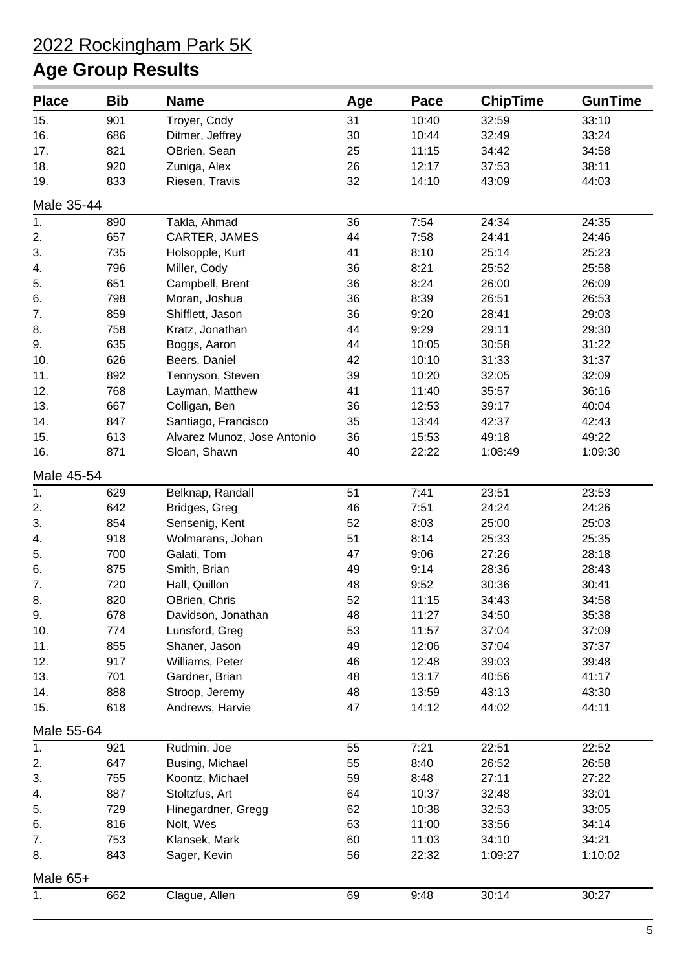| <b>Place</b> | <b>Bib</b> | <b>Name</b>                 | Age | Pace  | <b>ChipTime</b> | <b>GunTime</b> |
|--------------|------------|-----------------------------|-----|-------|-----------------|----------------|
| 15.          | 901        | Troyer, Cody                | 31  | 10:40 | 32:59           | 33:10          |
| 16.          | 686        | Ditmer, Jeffrey             | 30  | 10:44 | 32:49           | 33:24          |
| 17.          | 821        | OBrien, Sean                | 25  | 11:15 | 34:42           | 34:58          |
| 18.          | 920        | Zuniga, Alex                | 26  | 12:17 | 37:53           | 38:11          |
| 19.          | 833        | Riesen, Travis              | 32  | 14:10 | 43:09           | 44:03          |
| Male 35-44   |            |                             |     |       |                 |                |
| 1.           | 890        | Takla, Ahmad                | 36  | 7:54  | 24:34           | 24:35          |
| 2.           | 657        | CARTER, JAMES               | 44  | 7:58  | 24:41           | 24:46          |
| 3.           | 735        | Holsopple, Kurt             | 41  | 8:10  | 25:14           | 25:23          |
| 4.           | 796        | Miller, Cody                | 36  | 8:21  | 25:52           | 25:58          |
| 5.           | 651        | Campbell, Brent             | 36  | 8:24  | 26:00           | 26:09          |
| 6.           | 798        | Moran, Joshua               | 36  | 8:39  | 26:51           | 26:53          |
| 7.           | 859        | Shifflett, Jason            | 36  | 9:20  | 28:41           | 29:03          |
| 8.           | 758        | Kratz, Jonathan             | 44  | 9:29  | 29:11           | 29:30          |
| 9.           | 635        | Boggs, Aaron                | 44  | 10:05 | 30:58           | 31:22          |
| 10.          | 626        | Beers, Daniel               | 42  | 10:10 | 31:33           | 31:37          |
| 11.          | 892        | Tennyson, Steven            | 39  | 10:20 | 32:05           | 32:09          |
| 12.          | 768        | Layman, Matthew             | 41  | 11:40 | 35:57           | 36:16          |
| 13.          | 667        | Colligan, Ben               | 36  | 12:53 | 39:17           | 40:04          |
| 14.          | 847        | Santiago, Francisco         | 35  | 13:44 | 42:37           | 42:43          |
| 15.          | 613        | Alvarez Munoz, Jose Antonio | 36  | 15:53 | 49:18           | 49:22          |
| 16.          | 871        | Sloan, Shawn                | 40  | 22:22 | 1:08:49         | 1:09:30        |
| Male 45-54   |            |                             |     |       |                 |                |
| 1.           | 629        | Belknap, Randall            | 51  | 7:41  | 23:51           | 23:53          |
| 2.           | 642        | Bridges, Greg               | 46  | 7:51  | 24:24           | 24:26          |
| 3.           | 854        | Sensenig, Kent              | 52  | 8:03  | 25:00           | 25:03          |
| 4.           | 918        | Wolmarans, Johan            | 51  | 8:14  | 25:33           | 25:35          |
| 5.           | 700        | Galati, Tom                 | 47  | 9:06  | 27:26           | 28:18          |
| 6.           | 875        | Smith, Brian                | 49  | 9:14  | 28:36           | 28:43          |
| 7.           | 720        | Hall, Quillon               | 48  | 9:52  | 30:36           | 30:41          |
| 8.           | 820        | OBrien, Chris               | 52  | 11:15 | 34:43           | 34:58          |
| 9.           | 678        | Davidson, Jonathan          | 48  | 11:27 | 34:50           | 35:38          |
| 10.          | 774        | Lunsford, Greg              | 53  | 11:57 | 37:04           | 37:09          |
| 11.          | 855        | Shaner, Jason               | 49  | 12:06 | 37:04           | 37:37          |
| 12.          | 917        | Williams, Peter             | 46  | 12:48 | 39:03           | 39:48          |
| 13.          | 701        | Gardner, Brian              | 48  | 13:17 | 40:56           | 41:17          |
| 14.          | 888        | Stroop, Jeremy              | 48  | 13:59 | 43:13           | 43:30          |
| 15.          | 618        | Andrews, Harvie             | 47  | 14:12 | 44:02           | 44:11          |
| Male 55-64   |            |                             |     |       |                 |                |
| 1.           | 921        | Rudmin, Joe                 | 55  | 7:21  | 22:51           | 22:52          |
| 2.           | 647        | Busing, Michael             | 55  | 8:40  | 26:52           | 26:58          |
| 3.           | 755        | Koontz, Michael             | 59  | 8:48  | 27:11           | 27:22          |
| 4.           | 887        | Stoltzfus, Art              | 64  | 10:37 | 32:48           | 33:01          |
| 5.           | 729        | Hinegardner, Gregg          | 62  | 10:38 | 32:53           | 33:05          |
| 6.           | 816        | Nolt, Wes                   | 63  | 11:00 | 33:56           | 34:14          |
| 7.           | 753        | Klansek, Mark               | 60  | 11:03 | 34:10           | 34:21          |
| 8.           |            |                             |     |       |                 |                |
|              | 843        | Sager, Kevin                | 56  | 22:32 | 1:09:27         | 1:10:02        |
| Male 65+     |            |                             |     |       |                 |                |